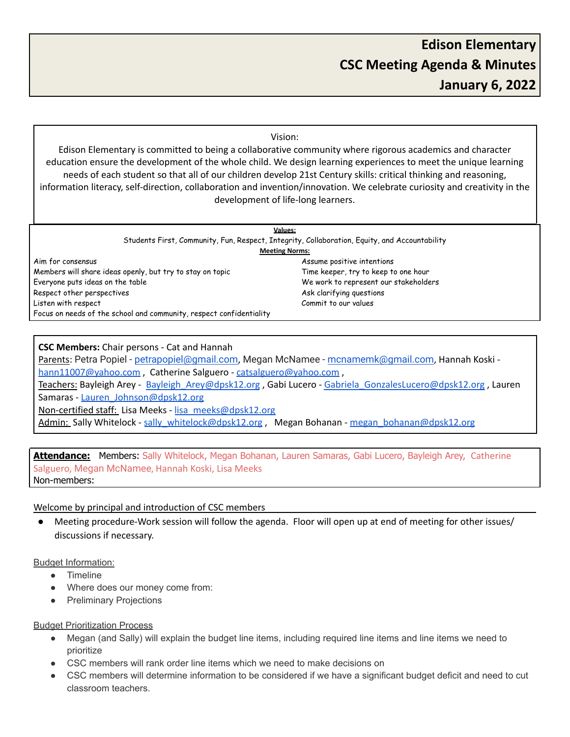#### Vision:

Edison Elementary is committed to being a collaborative community where rigorous academics and character education ensure the development of the whole child. We design learning experiences to meet the unique learning needs of each student so that all of our children develop 21st Century skills: critical thinking and reasoning, information literacy, self-direction, collaboration and invention/innovation. We celebrate curiosity and creativity in the development of life-long learners.

| <b>Values:</b>                                                                                |                                       |
|-----------------------------------------------------------------------------------------------|---------------------------------------|
| Students First, Community, Fun, Respect, Integrity, Collaboration, Equity, and Accountability |                                       |
| <b>Meeting Norms:</b>                                                                         |                                       |
| Aim for consensus                                                                             | Assume positive intentions            |
| Members will share ideas openly, but try to stay on topic                                     | Time keeper, try to keep to one hour  |
| Everyone puts ideas on the table                                                              | We work to represent our stakeholders |
| Respect other perspectives                                                                    | Ask clarifying questions              |
| Listen with respect                                                                           | Commit to our values                  |
| Focus on needs of the school and community, respect confidentiality                           |                                       |

## **CSC Members:** Chair persons - Cat and Hannah

Parents: Petra Popiel - [petrapopiel@gmail.com](mailto:petrapopiel@gmail.com), Megan McNamee - [mcnamemk@gmail.com](mailto:mcnamemk@gmail.com), Hannah Koski [hann11007@yahoo.com](mailto:hann11007@yahoo.com), Catherine Salguero - [catsalguero@yahoo.com](mailto:catsalguero@yahoo.com), Teachers: Bayleigh Arey - Bayleigh Arey@dpsk12.org , Gabi Lucero - Gabriela GonzalesLucero@dpsk12.org , Lauren Samaras - Lauren Johnson@dpsk12.org Non-certified staff: Lisa Meeks - [lisa\\_meeks@dpsk12.org](mailto:lisa_meeks@dpsk12.org) Admin: Sally Whitelock - [sally\\_whitelock@dpsk12.org](mailto:sally_whitelock@dpsk12.org) , Megan Bohanan - [megan\\_bohanan@dpsk12.org](mailto:megan_bohanan@dpsk12.org)

# **Attendance:** Members: Sally Whitelock, Megan Bohanan, Lauren Samaras, Gabi Lucero, Bayleigh Arey, Catherine Salguero, Megan McNamee, Hannah Koski, Lisa Meeks Non-members:

## Welcome by principal and introduction of CSC members

Meeting procedure-Work session will follow the agenda. Floor will open up at end of meeting for other issues/ discussions if necessary.

#### Budget Information:

- Timeline
- Where does our money come from:
- Preliminary Projections

## Budget Prioritization Process

- Megan (and Sally) will explain the budget line items, including required line items and line items we need to prioritize
- CSC members will rank order line items which we need to make decisions on
- CSC members will determine information to be considered if we have a significant budget deficit and need to cut classroom teachers.